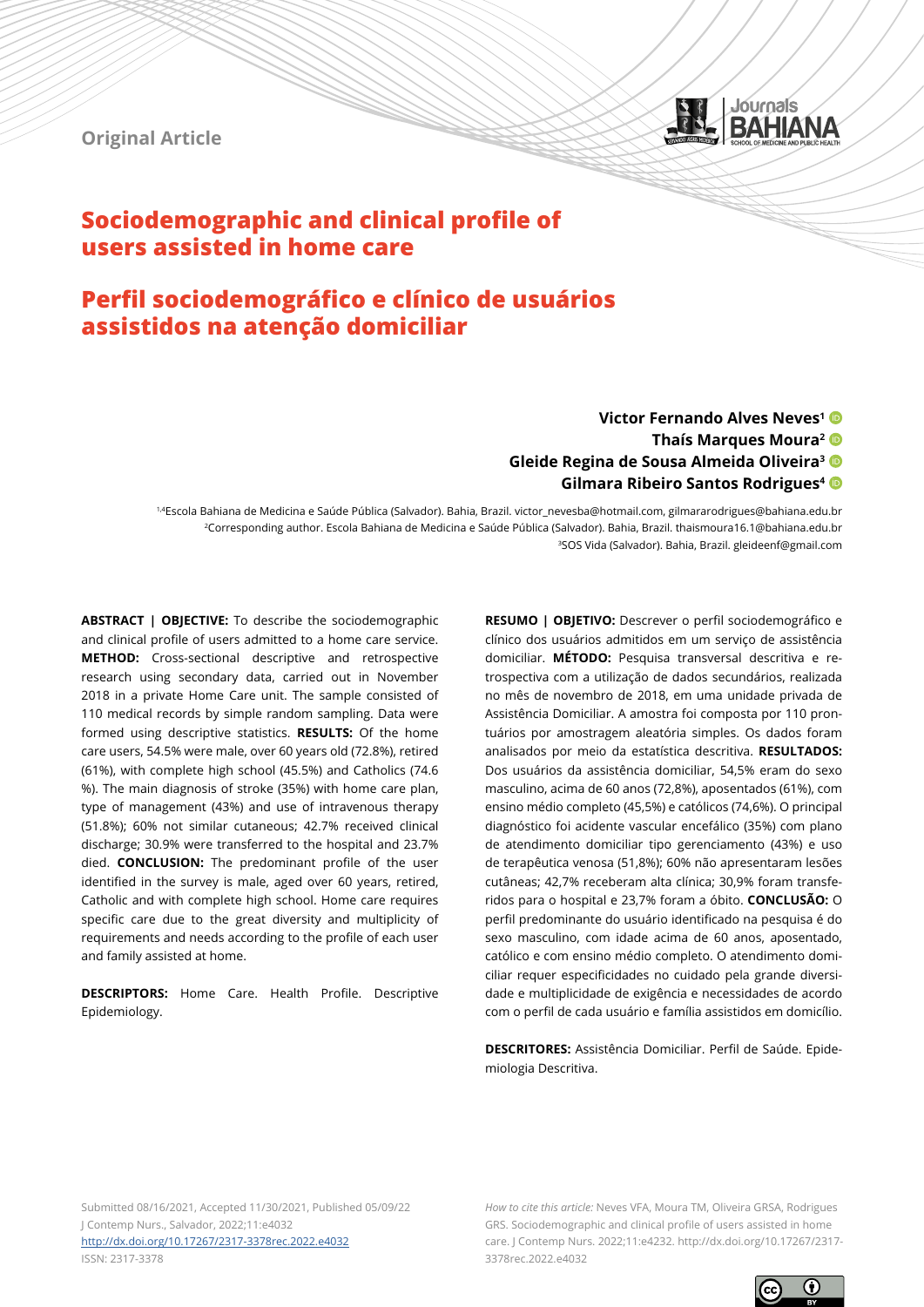**Original Article**



# **Sociodemographic and clinical profile of users assisted in home care**

# **Perfil sociodemográfico e clínico de usuários assistidos na atenção domiciliar**

## **Victor Fernando Alves Neves1 Thaís Marques Moura2 Gleide Regina de Sousa Almeida Oliveira3 Gilmara Ribeiro Santos Rodrigues4**

1,4Escola Bahiana de Medicina e Saúde Pública (Salvador). Bahia, Brazil. victor\_nevesba@hotmail.com, gilmararodrigues@bahiana.edu.br 2Corresponding author. Escola Bahiana de Medicina e Saúde Pública (Salvador). Bahia, Brazil. thaismoura16.1@bahiana.edu.br 3SOS Vida (Salvador). Bahia, Brazil. gleideenf@gmail.com

**ABSTRACT | OBJECTIVE:** To describe the sociodemographic and clinical profile of users admitted to a home care service. **METHOD:** Cross-sectional descriptive and retrospective research using secondary data, carried out in November 2018 in a private Home Care unit. The sample consisted of 110 medical records by simple random sampling. Data were formed using descriptive statistics. **RESULTS:** Of the home care users, 54.5% were male, over 60 years old (72.8%), retired (61%), with complete high school (45.5%) and Catholics (74.6 %). The main diagnosis of stroke (35%) with home care plan, type of management (43%) and use of intravenous therapy (51.8%); 60% not similar cutaneous; 42.7% received clinical discharge; 30.9% were transferred to the hospital and 23.7% died. **CONCLUSION:** The predominant profile of the user identified in the survey is male, aged over 60 years, retired, Catholic and with complete high school. Home care requires specific care due to the great diversity and multiplicity of requirements and needs according to the profile of each user and family assisted at home.

**DESCRIPTORS:** Home Care. Health Profile. Descriptive Epidemiology.

**RESUMO | OBJETIVO:** Descrever o perfil sociodemográfico e clínico dos usuários admitidos em um serviço de assistência domiciliar. **MÉTODO:** Pesquisa transversal descritiva e retrospectiva com a utilização de dados secundários, realizada no mês de novembro de 2018, em uma unidade privada de Assistência Domiciliar. A amostra foi composta por 110 prontuários por amostragem aleatória simples. Os dados foram analisados por meio da estatística descritiva. **RESULTADOS:** Dos usuários da assistência domiciliar, 54,5% eram do sexo masculino, acima de 60 anos (72,8%), aposentados (61%), com ensino médio completo (45,5%) e católicos (74,6%). O principal diagnóstico foi acidente vascular encefálico (35%) com plano de atendimento domiciliar tipo gerenciamento (43%) e uso de terapêutica venosa (51,8%); 60% não apresentaram lesões cutâneas; 42,7% receberam alta clínica; 30,9% foram transferidos para o hospital e 23,7% foram a óbito. **CONCLUSÃO:** O perfil predominante do usuário identificado na pesquisa é do sexo masculino, com idade acima de 60 anos, aposentado, católico e com ensino médio completo. O atendimento domiciliar requer especificidades no cuidado pela grande diversidade e multiplicidade de exigência e necessidades de acordo com o perfil de cada usuário e família assistidos em domicílio.

**DESCRITORES:** Assistência Domiciliar. Perfil de Saúde. Epidemiologia Descritiva.

Submitted 08/16/2021, Accepted 11/30/2021, Published 05/09/22 J Contemp Nurs., Salvador, 2022;11:e4032 <http://dx.doi.org/10.17267/2317-3378rec.2022.e4032> ISSN: 2317-3378

*How to cite this article:* Neves VFA, Moura TM, Oliveira GRSA, Rodrigues GRS. Sociodemographic and clinical profile of users assisted in home care. J Contemp Nurs. 2022;11:e4232. http://dx.doi.org/10.17267/2317- 3378rec.2022.e4032

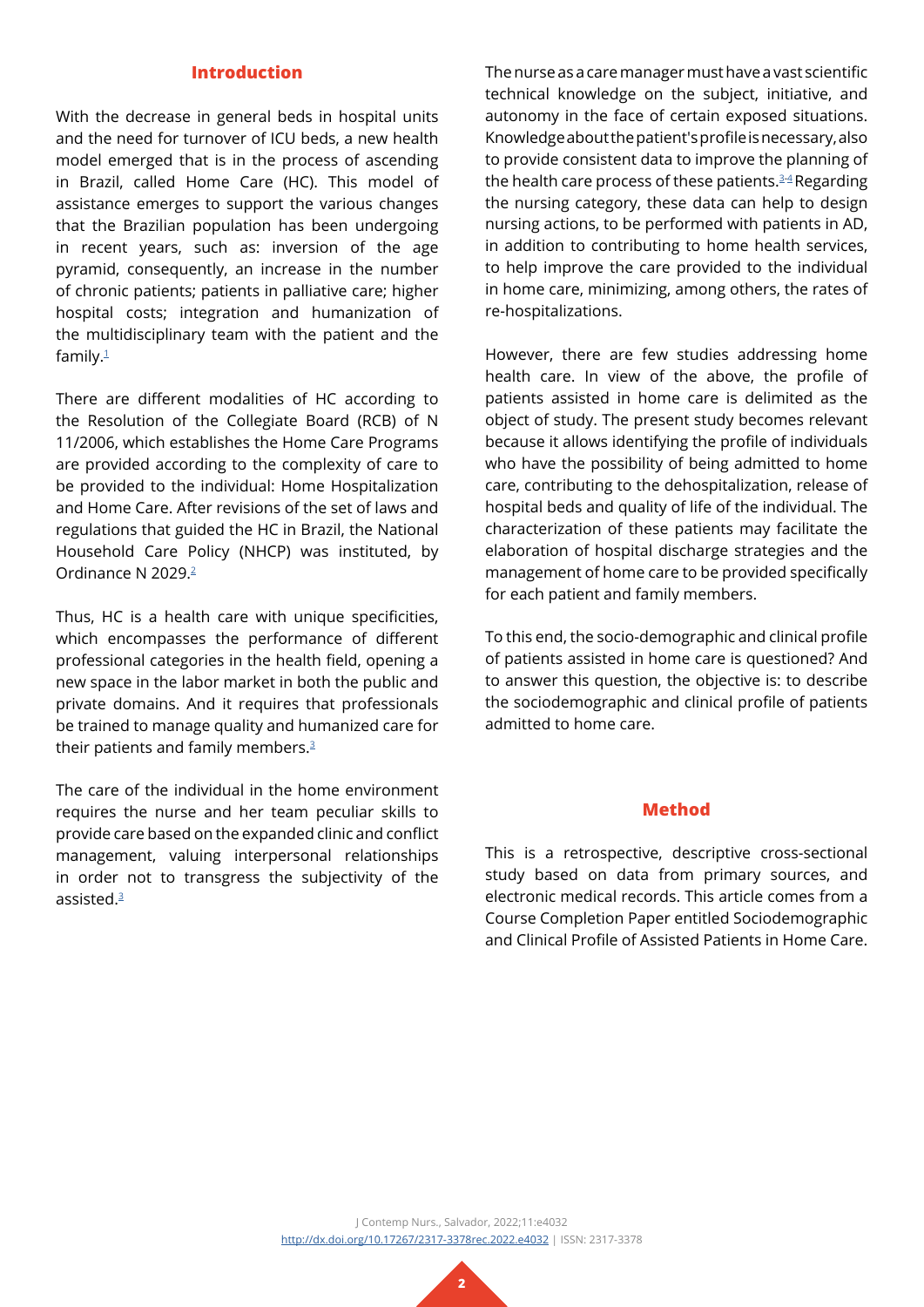#### **Introduction**

With the decrease in general beds in hospital units and the need for turnover of ICU beds, a new health model emerged that is in the process of ascending in Brazil, called Home Care (HC). This model of assistance emerges to support the various changes that the Brazilian population has been undergoing in recent years, such as: inversion of the age pyramid, consequently, an increase in the number of chronic patients; patients in palliative care; higher hospital costs; integration and humanization of the multidisciplinary team with the patient and the family[.1](#page-9-0)

There are different modalities of HC according to the Resolution of the Collegiate Board (RCB) of N 11/2006, which establishes the Home Care Programs are provided according to the complexity of care to be provided to the individual: Home Hospitalization and Home Care. After revisions of the set of laws and regulations that guided the HC in Brazil, the National Household Care Policy (NHCP) was instituted, by Ordinance N 2029[.2](#page-9-1)

Thus, HC is a health care with unique specificities, which encompasses the performance of different professional categories in the health field, opening a new space in the labor market in both the public and private domains. And it requires that professionals be trained to manage quality and humanized care for their patients and family members.<sup>[3](#page-9-2)</sup>

The care of the individual in the home environment requires the nurse and her team peculiar skills to provide care based on the expanded clinic and conflict management, valuing interpersonal relationships in order not to transgress the subjectivity of the assisted[.3](#page-9-2)

The nurse as a care manager must have a vast scientific technical knowledge on the subject, initiative, and autonomy in the face of certain exposed situations. Knowledge about the patient's profile is necessary, also to provide consistent data to improve the planning of the health care process of these patients. $3-4$  $3-4$  Regarding the nursing category, these data can help to design nursing actions, to be performed with patients in AD, in addition to contributing to home health services, to help improve the care provided to the individual in home care, minimizing, among others, the rates of re-hospitalizations.

However, there are few studies addressing home health care. In view of the above, the profile of patients assisted in home care is delimited as the object of study. The present study becomes relevant because it allows identifying the profile of individuals who have the possibility of being admitted to home care, contributing to the dehospitalization, release of hospital beds and quality of life of the individual. The characterization of these patients may facilitate the elaboration of hospital discharge strategies and the management of home care to be provided specifically for each patient and family members.

To this end, the socio-demographic and clinical profile of patients assisted in home care is questioned? And to answer this question, the objective is: to describe the sociodemographic and clinical profile of patients admitted to home care.

### **Method**

This is a retrospective, descriptive cross-sectional study based on data from primary sources, and electronic medical records. This article comes from a Course Completion Paper entitled Sociodemographic and Clinical Profile of Assisted Patients in Home Care.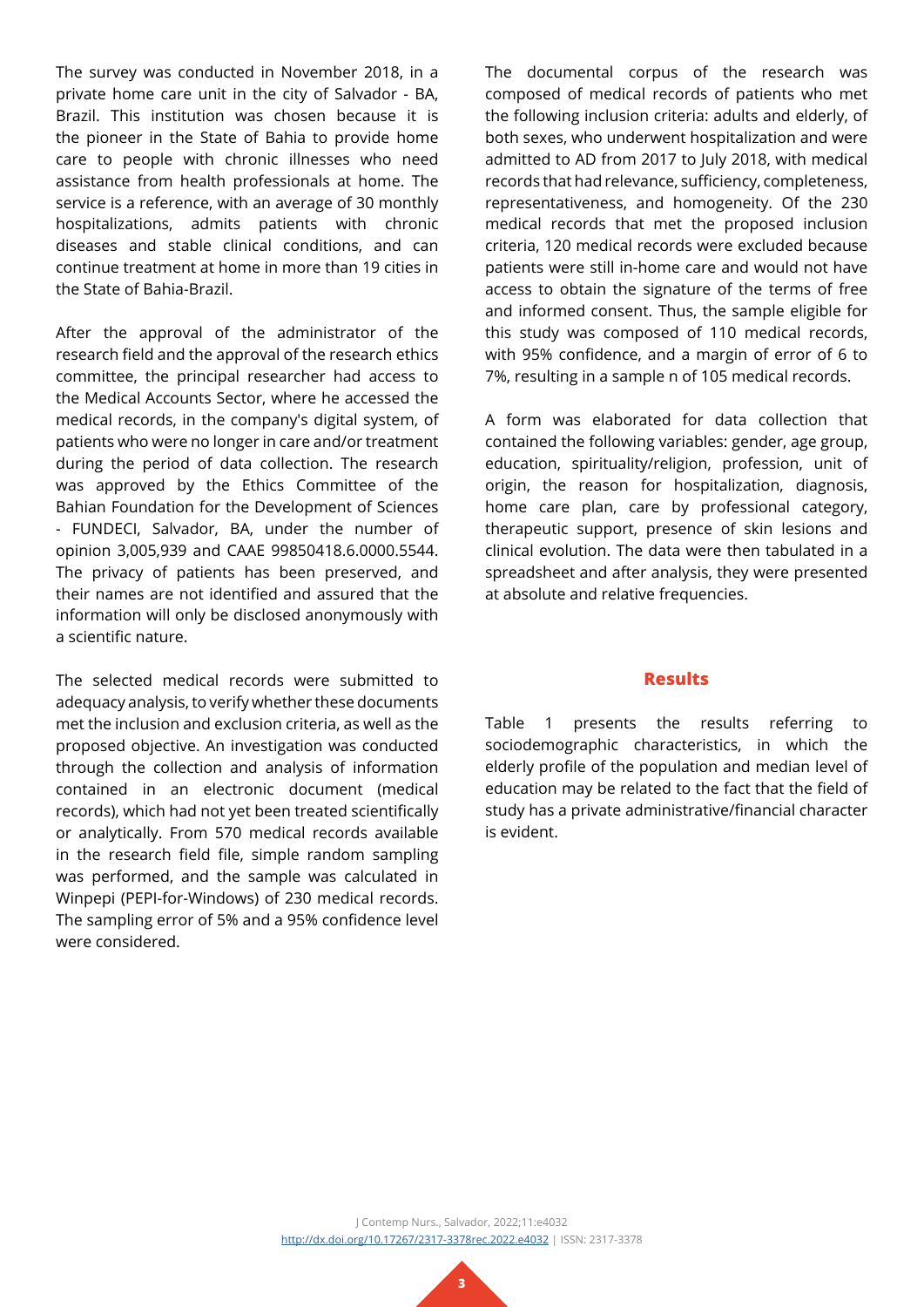The survey was conducted in November 2018, in a private home care unit in the city of Salvador - BA, Brazil. This institution was chosen because it is the pioneer in the State of Bahia to provide home care to people with chronic illnesses who need assistance from health professionals at home. The service is a reference, with an average of 30 monthly hospitalizations, admits patients with chronic diseases and stable clinical conditions, and can continue treatment at home in more than 19 cities in the State of Bahia-Brazil.

After the approval of the administrator of the research field and the approval of the research ethics committee, the principal researcher had access to the Medical Accounts Sector, where he accessed the medical records, in the company's digital system, of patients who were no longer in care and/or treatment during the period of data collection. The research was approved by the Ethics Committee of the Bahian Foundation for the Development of Sciences - FUNDECI, Salvador, BA, under the number of opinion 3,005,939 and CAAE 99850418.6.0000.5544. The privacy of patients has been preserved, and their names are not identified and assured that the information will only be disclosed anonymously with a scientific nature.

The selected medical records were submitted to adequacy analysis, to verify whether these documents met the inclusion and exclusion criteria, as well as the proposed objective. An investigation was conducted through the collection and analysis of information contained in an electronic document (medical records), which had not yet been treated scientifically or analytically. From 570 medical records available in the research field file, simple random sampling was performed, and the sample was calculated in Winpepi (PEPI-for-Windows) of 230 medical records. The sampling error of 5% and a 95% confidence level were considered.

The documental corpus of the research was composed of medical records of patients who met the following inclusion criteria: adults and elderly, of both sexes, who underwent hospitalization and were admitted to AD from 2017 to July 2018, with medical records that had relevance, sufficiency, completeness, representativeness, and homogeneity. Of the 230 medical records that met the proposed inclusion criteria, 120 medical records were excluded because patients were still in-home care and would not have access to obtain the signature of the terms of free and informed consent. Thus, the sample eligible for this study was composed of 110 medical records, with 95% confidence, and a margin of error of 6 to 7%, resulting in a sample n of 105 medical records.

A form was elaborated for data collection that contained the following variables: gender, age group, education, spirituality/religion, profession, unit of origin, the reason for hospitalization, diagnosis, home care plan, care by professional category, therapeutic support, presence of skin lesions and clinical evolution. The data were then tabulated in a spreadsheet and after analysis, they were presented at absolute and relative frequencies.

#### **Results**

Table 1 presents the results referring to sociodemographic characteristics, in which the elderly profile of the population and median level of education may be related to the fact that the field of study has a private administrative/financial character is evident.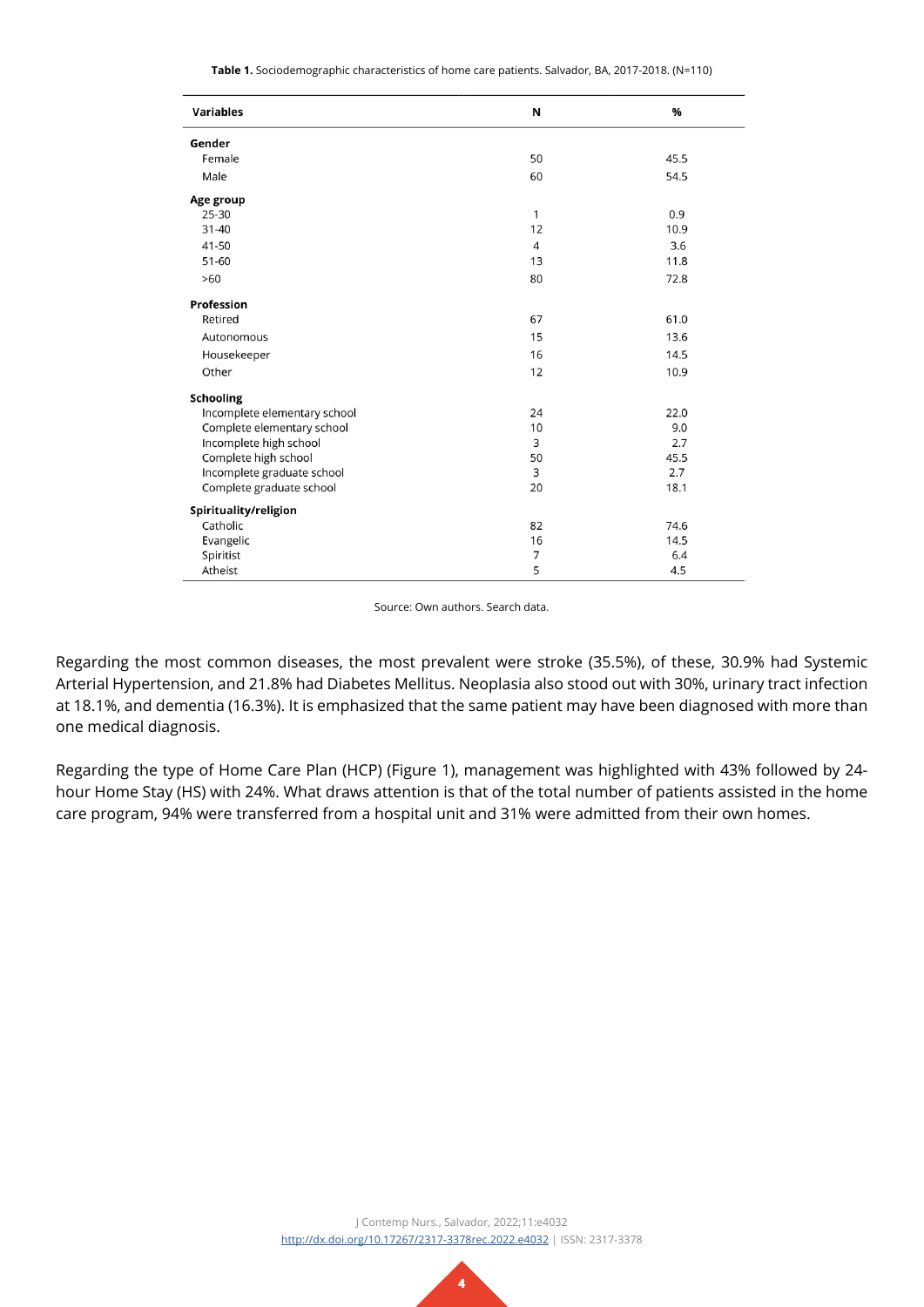**Table 1.** Sociodemographic characteristics of home care patients. Salvador, BA, 2017-2018. (N=110)

| <b>Variables</b>             | N              | %    |
|------------------------------|----------------|------|
| Gender                       |                |      |
| Female                       | 50             | 45.5 |
| Male                         | 60             | 54.5 |
| Age group                    |                |      |
| 25-30                        | 1              | 0.9  |
| $31 - 40$                    | 12             | 10.9 |
| 41-50                        | $\overline{4}$ | 3.6  |
| 51-60                        | 13             | 11.8 |
| >60                          | 80             | 72.8 |
| Profession                   |                |      |
| Retired                      | 67             | 61.0 |
| Autonomous                   | 15             | 13.6 |
| Housekeeper                  | 16             | 14.5 |
| Other                        | 12             | 10.9 |
| <b>Schooling</b>             |                |      |
| Incomplete elementary school | 24             | 22.0 |
| Complete elementary school   | 10             | 9.0  |
| Incomplete high school       | 3              | 2.7  |
| Complete high school         | 50             | 45.5 |
| Incomplete graduate school   | 3              | 2.7  |
| Complete graduate school     | 20             | 18.1 |
| Spirituality/religion        |                |      |
| Catholic                     | 82             | 74.6 |
| Evangelic                    | 16             | 14.5 |
| Spiritist                    | $\overline{7}$ | 6.4  |
| Atheist                      | 5              | 4.5  |

Source: Own authors. Search data.

Regarding the most common diseases, the most prevalent were stroke (35.5%), of these, 30.9% had Systemic Arterial Hypertension, and 21.8% had Diabetes Mellitus. Neoplasia also stood out with 30%, urinary tract infection at 18.1%, and dementia (16.3%). It is emphasized that the same patient may have been diagnosed with more than one medical diagnosis.

Regarding the type of Home Care Plan (HCP) (Figure 1), management was highlighted with 43% followed by 24 hour Home Stay (HS) with 24%. What draws attention is that of the total number of patients assisted in the home care program, 94% were transferred from a hospital unit and 31% were admitted from their own homes.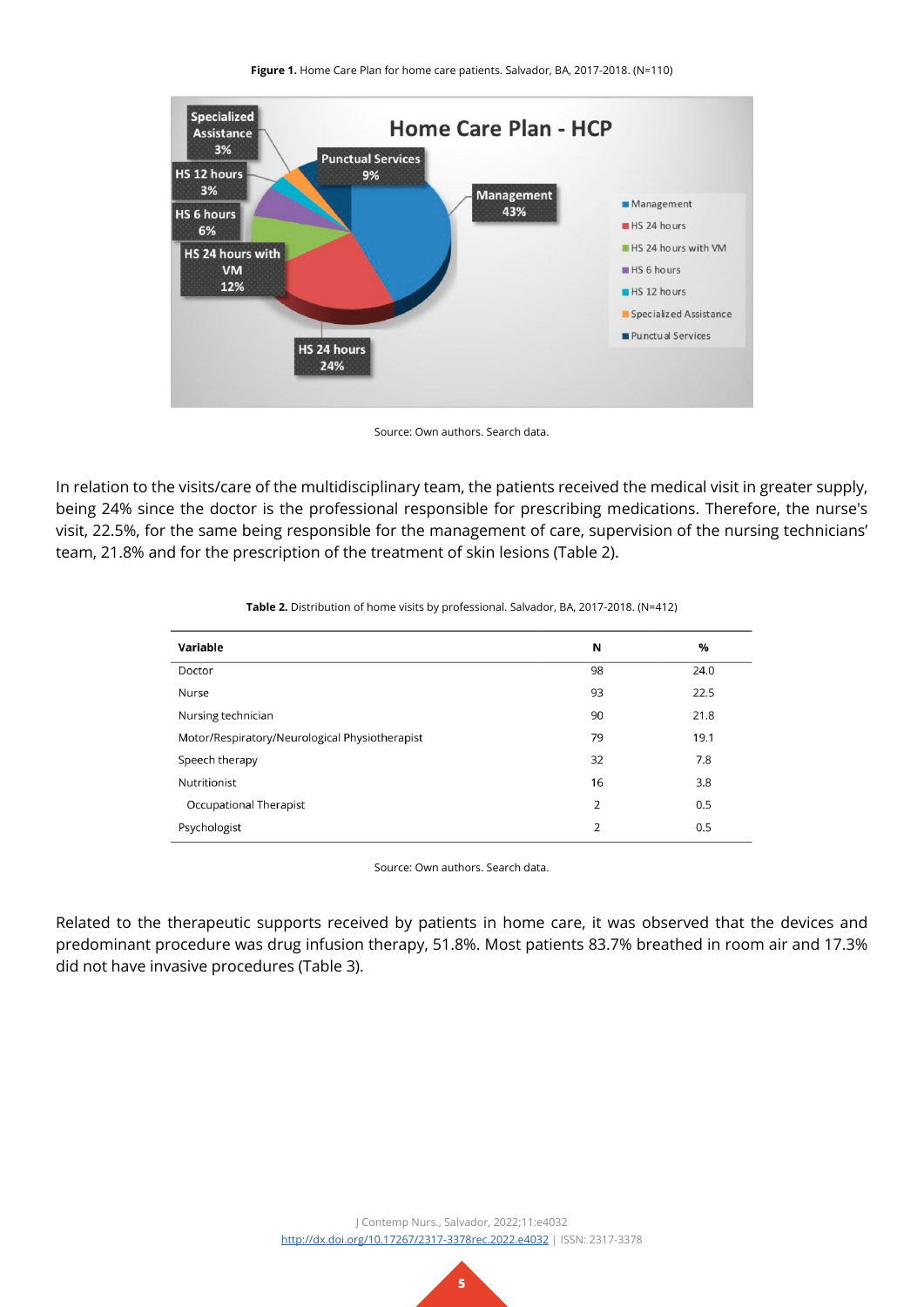

Source: Own authors. Search data.

In relation to the visits/care of the multidisciplinary team, the patients received the medical visit in greater supply, being 24% since the doctor is the professional responsible for prescribing medications. Therefore, the nurse's visit, 22.5%, for the same being responsible for the management of care, supervision of the nursing technicians' team, 21.8% and for the prescription of the treatment of skin lesions (Table 2).

| Variable                                       | N  | %    |
|------------------------------------------------|----|------|
| Doctor                                         | 98 | 24.0 |
| Nurse                                          | 93 | 22.5 |
| Nursing technician                             | 90 | 21.8 |
| Motor/Respiratory/Neurological Physiotherapist | 79 | 19.1 |
| Speech therapy                                 | 32 | 7.8  |
| Nutritionist                                   | 16 | 3.8  |
| Occupational Therapist                         | 2  | 0.5  |
| Psychologist                                   | 2  | 0.5  |
|                                                |    |      |

| Table 2. Distribution of home visits by professional. Salvador, BA, 2017-2018. (N=412) |  |  |  |  |  |  |
|----------------------------------------------------------------------------------------|--|--|--|--|--|--|
|----------------------------------------------------------------------------------------|--|--|--|--|--|--|

Source: Own authors. Search data.

Related to the therapeutic supports received by patients in home care, it was observed that the devices and predominant procedure was drug infusion therapy, 51.8%. Most patients 83.7% breathed in room air and 17.3% did not have invasive procedures (Table 3).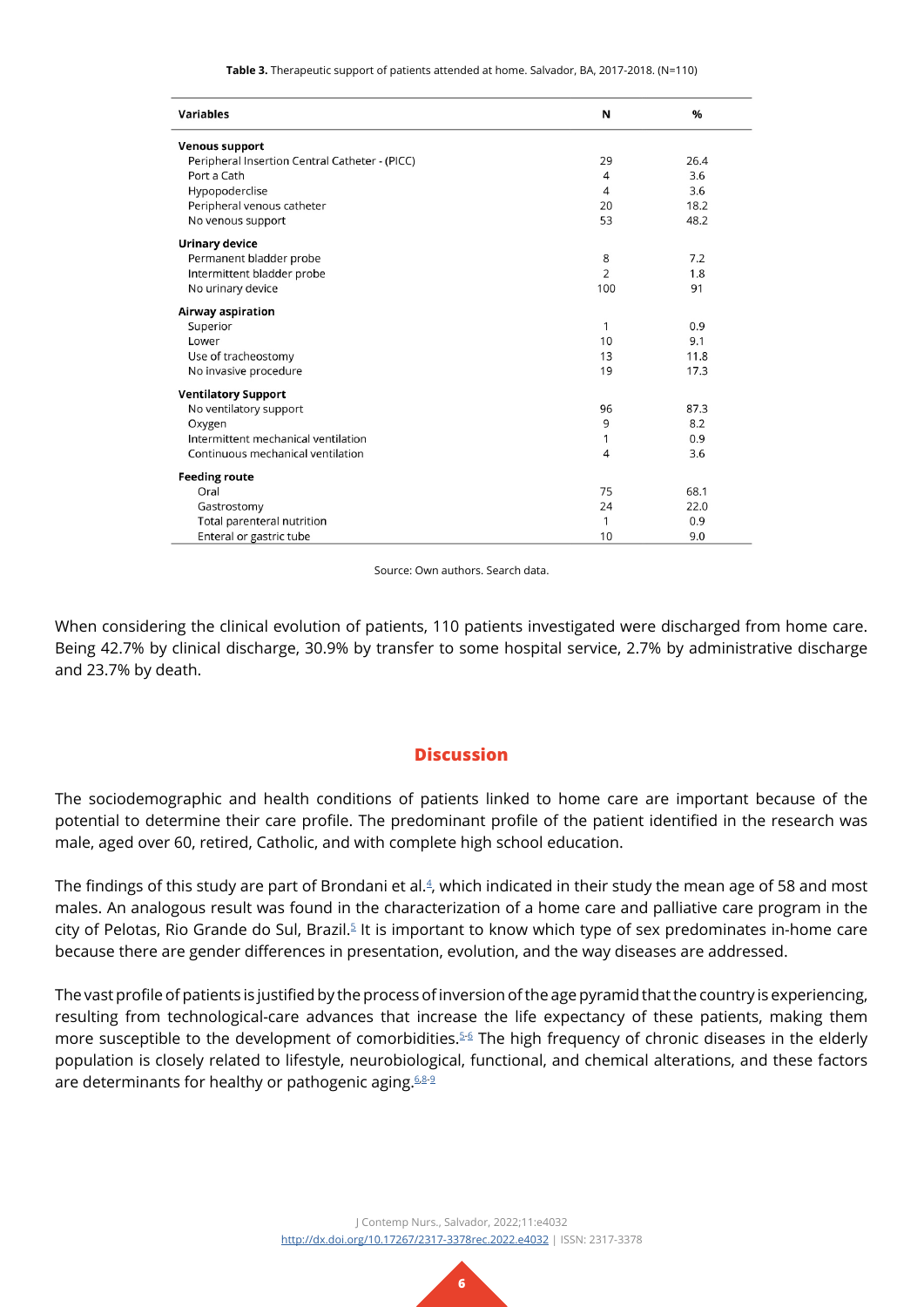**Table 3.** Therapeutic support of patients attended at home. Salvador, BA, 2017-2018. (N=110)

| <b>Variables</b>                               | N              | $\%$ |
|------------------------------------------------|----------------|------|
| <b>Venous support</b>                          |                |      |
| Peripheral Insertion Central Catheter - (PICC) | 29             | 26.4 |
| Port a Cath                                    | $\overline{4}$ | 3.6  |
| Hypopoderclise                                 | 4              | 3.6  |
| Peripheral venous catheter                     | 20             | 18.2 |
| No venous support                              | 53             | 48.2 |
| <b>Urinary device</b>                          |                |      |
| Permanent bladder probe                        | 8              | 7.2  |
| Intermittent bladder probe                     | 2              | 1.8  |
| No urinary device                              | 100            | 91   |
| Airway aspiration                              |                |      |
| Superior                                       | 1              | 0.9  |
| Lower                                          | 10             | 9.1  |
| Use of tracheostomy                            | 13             | 11.8 |
| No invasive procedure                          | 19             | 17.3 |
| <b>Ventilatory Support</b>                     |                |      |
| No ventilatory support                         | 96             | 87.3 |
| Oxygen                                         | 9              | 8.2  |
| Intermittent mechanical ventilation            | 1              | 0.9  |
| Continuous mechanical ventilation              | $\overline{4}$ | 3.6  |
| <b>Feeding route</b>                           |                |      |
| Oral                                           | 75             | 68.1 |
| Gastrostomy                                    | 24             | 22.0 |
| Total parenteral nutrition                     | 1              | 0.9  |
| Enteral or gastric tube                        | 10             | 9.0  |

Source: Own authors. Search data.

When considering the clinical evolution of patients, 110 patients investigated were discharged from home care. Being 42.7% by clinical discharge, 30.9% by transfer to some hospital service, 2.7% by administrative discharge and 23.7% by death.

### **Discussion**

The sociodemographic and health conditions of patients linked to home care are important because of the potential to determine their care profile. The predominant profile of the patient identified in the research was male, aged over 60, retired, Catholic, and with complete high school education.

The findings of this study are part of Brondani et al.<sup>[4](#page-9-3)</sup>, which indicated in their study the mean age of 58 and most males. An analogous result was found in the characterization of a home care and palliative care program in the city of Pelotas, Rio Grande do Sul, Brazil.<sup>5</sup> It is important to know which type of sex predominates in-home care because there are gender differences in presentation, evolution, and the way diseases are addressed.

The vast profile of patients is justified by the process of inversion of the age pyramid that the country is experiencing, resulting from technological-care advances that increase the life expectancy of these patients, making them more susceptible to the development of comorbidities.<sup>5-6</sup> The high frequency of chronic diseases in the elderly population is closely related to lifestyle, neurobiological, functional, and chemical alterations, and these factors are determinants for healthy or pathogenic aging. $6,8-9$  $6,8-9$  $6,8-9$ 

> J Contemp Nurs., Salvador, 2022;11:e4032 <http://dx.doi.org/10.17267/2317-3378rec.2022.e4032>| ISSN: 2317-3378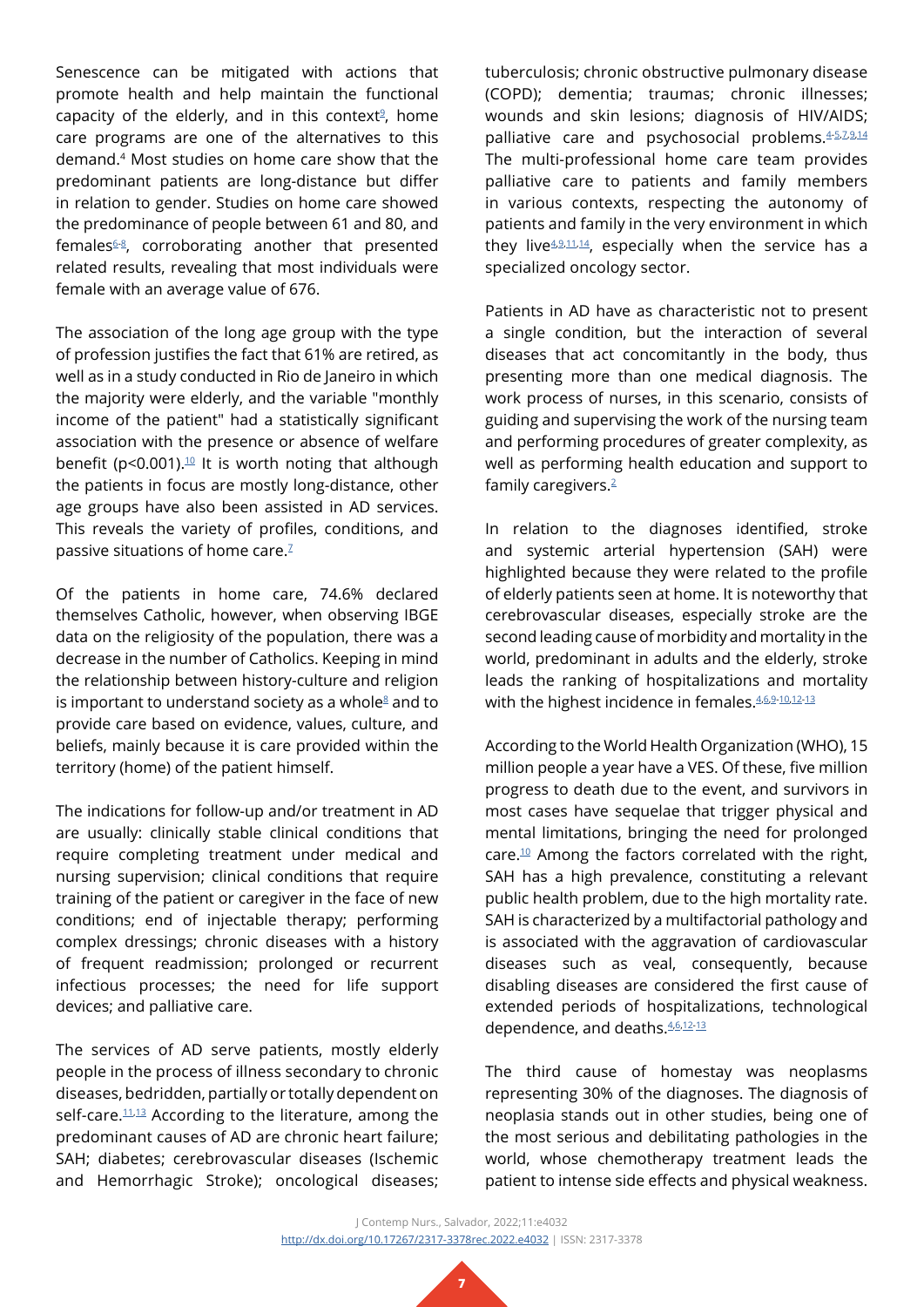Senescence can be mitigated with actions that promote health and help maintain the functional capacity of the elderly, and in this context $9$ , home care programs are one of the alternatives to this demand.4 Most studies on home care show that the predominant patients are long-distance but differ in relation to gender. Studies on home care showed the predominance of people between 61 and 80, and females $6-8$  $6-8$  $6-8$ , corroborating another that presented related results, revealing that most individuals were female with an average value of 676.

The association of the long age group with the type of profession justifies the fact that 61% are retired, as well as in a study conducted in Rio de Janeiro in which the majority were elderly, and the variable "monthly income of the patient" had a statistically significant association with the presence or absence of welfare benefit (p<0.001).<sup>10</sup> It is worth noting that although the patients in focus are mostly long-distance, other age groups have also been assisted in AD services. This reveals the variety of profiles, conditions, and passive situations of home care. $7$ 

Of the patients in home care, 74.6% declared themselves Catholic, however, when observing IBGE data on the religiosity of the population, there was a decrease in the number of Catholics. Keeping in mind the relationship between history-culture and religion is important to understand society as a whole $8$  and to provide care based on evidence, values, culture, and beliefs, mainly because it is care provided within the territory (home) of the patient himself.

The indications for follow-up and/or treatment in AD are usually: clinically stable clinical conditions that require completing treatment under medical and nursing supervision; clinical conditions that require training of the patient or caregiver in the face of new conditions; end of injectable therapy; performing complex dressings; chronic diseases with a history of frequent readmission; prolonged or recurrent infectious processes; the need for life support devices; and palliative care.

The services of AD serve patients, mostly elderly people in the process of illness secondary to chronic diseases, bedridden, partially or totally dependent on self-care.<sup>11[,13](#page-9-11)</sup> According to the literature, among the predominant causes of AD are chronic heart failure; SAH; diabetes; cerebrovascular diseases (Ischemic and Hemorrhagic Stroke); oncological diseases;

tuberculosis; chronic obstructive pulmonary disease (COPD); dementia; traumas; chronic illnesses; wounds and skin lesions; diagnosis of HIV/AIDS; palliative care and psychosocial problems. [4-](#page-9-3)[5](#page-9-4),[7](#page-9-9),[9](#page-9-7),[14](#page-9-12) The multi-professional home care team provides palliative care to patients and family members in various contexts, respecting the autonomy of patients and family in the very environment in which they live<sup>[4](#page-9-3),[9](#page-9-7),[11,](#page-9-10)14</sup>, especially when the service has a specialized oncology sector.

Patients in AD have as characteristic not to present a single condition, but the interaction of several diseases that act concomitantly in the body, thus presenting more than one medical diagnosis. The work process of nurses, in this scenario, consists of guiding and supervising the work of the nursing team and performing procedures of greater complexity, as well as performing health education and support to family caregivers.[2](#page-9-1)

In relation to the diagnoses identified, stroke and systemic arterial hypertension (SAH) were highlighted because they were related to the profile of elderly patients seen at home. It is noteworthy that cerebrovascular diseases, especially stroke are the second leading cause of morbidity and mortality in the world, predominant in adults and the elderly, stroke leads the ranking of hospitalizations and mortality with the highest incidence in females. 4,[6](#page-9-5),[9](#page-9-7)[-10](#page-9-8)[,12-](#page-9-13)[13](#page-9-11)

According to the World Health Organization (WHO), 15 million people a year have a VES. Of these, five million progress to death due to the event, and survivors in most cases have sequelae that trigger physical and mental limitations, bringing the need for prolonged care[.10](#page-9-8) Among the factors correlated with the right, SAH has a high prevalence, constituting a relevant public health problem, due to the high mortality rate. SAH is characterized by a multifactorial pathology and is associated with the aggravation of cardiovascular diseases such as veal, consequently, because disabling diseases are considered the first cause of extended periods of hospitalizations, technological dependence, and deaths.  $4,6,12-13$  $4,6,12-13$  $4,6,12-13$  $4,6,12-13$  $4,6,12-13$ 

The third cause of homestay was neoplasms representing 30% of the diagnoses. The diagnosis of neoplasia stands out in other studies, being one of the most serious and debilitating pathologies in the world, whose chemotherapy treatment leads the patient to intense side effects and physical weakness.

J Contemp Nurs., Salvador, 2022;11:e4032 <http://dx.doi.org/10.17267/2317-3378rec.2022.e4032>| ISSN: 2317-3378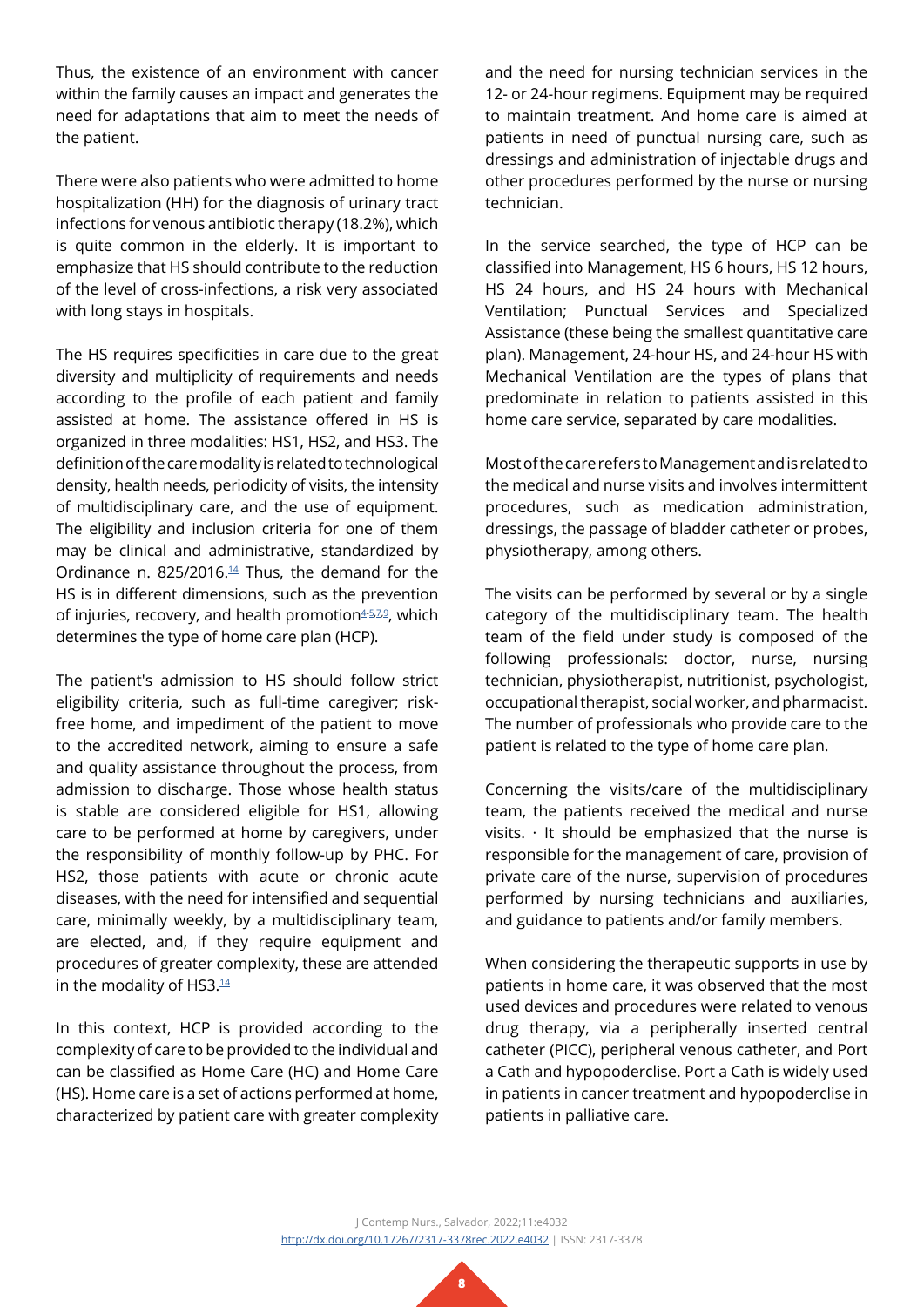Thus, the existence of an environment with cancer within the family causes an impact and generates the need for adaptations that aim to meet the needs of the patient.

There were also patients who were admitted to home hospitalization (HH) for the diagnosis of urinary tract infections for venous antibiotic therapy (18.2%), which is quite common in the elderly. It is important to emphasize that HS should contribute to the reduction of the level of cross-infections, a risk very associated with long stays in hospitals.

The HS requires specificities in care due to the great diversity and multiplicity of requirements and needs according to the profile of each patient and family assisted at home. The assistance offered in HS is organized in three modalities: HS1, HS2, and HS3. The definition of the care modality is related to technological density, health needs, periodicity of visits, the intensity of multidisciplinary care, and the use of equipment. The eligibility and inclusion criteria for one of them may be clinical and administrative, standardized by Ordinance n. 825/2016. $44$  Thus, the demand for the HS is in different dimensions, such as the prevention of injuries, recovery, and health promotion<sup>[4](#page-9-3)-[5](#page-9-4)[,7,](#page-9-9)[9](#page-9-7)</sup>, which determines the type of home care plan (HCP).

The patient's admission to HS should follow strict eligibility criteria, such as full-time caregiver; riskfree home, and impediment of the patient to move to the accredited network, aiming to ensure a safe and quality assistance throughout the process, from admission to discharge. Those whose health status is stable are considered eligible for HS1, allowing care to be performed at home by caregivers, under the responsibility of monthly follow-up by PHC. For HS2, those patients with acute or chronic acute diseases, with the need for intensified and sequential care, minimally weekly, by a multidisciplinary team, are elected, and, if they require equipment and procedures of greater complexity, these are attended in the modality of HS3.[14](#page-9-12)

In this context, HCP is provided according to the complexity of care to be provided to the individual and can be classified as Home Care (HC) and Home Care (HS). Home care is a set of actions performed at home, characterized by patient care with greater complexity

and the need for nursing technician services in the 12- or 24-hour regimens. Equipment may be required to maintain treatment. And home care is aimed at patients in need of punctual nursing care, such as dressings and administration of injectable drugs and other procedures performed by the nurse or nursing technician.

In the service searched, the type of HCP can be classified into Management, HS 6 hours, HS 12 hours, HS 24 hours, and HS 24 hours with Mechanical Ventilation; Punctual Services and Specialized Assistance (these being the smallest quantitative care plan). Management, 24-hour HS, and 24-hour HS with Mechanical Ventilation are the types of plans that predominate in relation to patients assisted in this home care service, separated by care modalities.

Most of the care refers to Management and is related to the medical and nurse visits and involves intermittent procedures, such as medication administration, dressings, the passage of bladder catheter or probes, physiotherapy, among others.

The visits can be performed by several or by a single category of the multidisciplinary team. The health team of the field under study is composed of the following professionals: doctor, nurse, nursing technician, physiotherapist, nutritionist, psychologist, occupational therapist, social worker, and pharmacist. The number of professionals who provide care to the patient is related to the type of home care plan.

Concerning the visits/care of the multidisciplinary team, the patients received the medical and nurse visits.  $\cdot$  It should be emphasized that the nurse is responsible for the management of care, provision of private care of the nurse, supervision of procedures performed by nursing technicians and auxiliaries, and guidance to patients and/or family members.

When considering the therapeutic supports in use by patients in home care, it was observed that the most used devices and procedures were related to venous drug therapy, via a peripherally inserted central catheter (PICC), peripheral venous catheter, and Port a Cath and hypopoderclise. Port a Cath is widely used in patients in cancer treatment and hypopoderclise in patients in palliative care.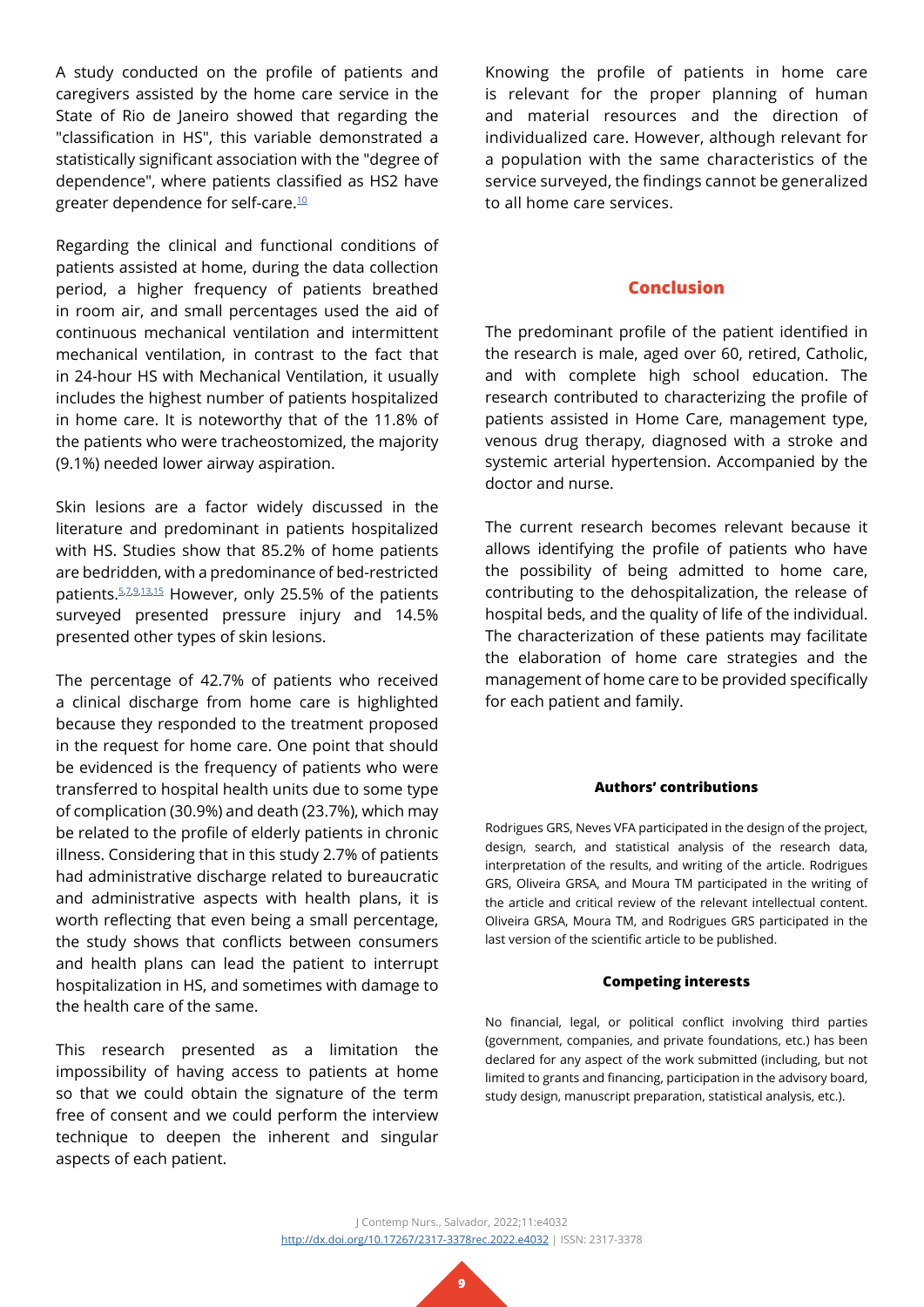A study conducted on the profile of patients and caregivers assisted by the home care service in the State of Rio de Janeiro showed that regarding the "classification in HS", this variable demonstrated a statistically significant association with the "degree of dependence", where patients classified as HS2 have greater dependence for self-care[.10](#page-9-8)

Regarding the clinical and functional conditions of patients assisted at home, during the data collection period, a higher frequency of patients breathed in room air, and small percentages used the aid of continuous mechanical ventilation and intermittent mechanical ventilation, in contrast to the fact that in 24-hour HS with Mechanical Ventilation, it usually includes the highest number of patients hospitalized in home care. It is noteworthy that of the 11.8% of the patients who were tracheostomized, the majority (9.1%) needed lower airway aspiration.

Skin lesions are a factor widely discussed in the literature and predominant in patients hospitalized with HS. Studies show that 85.2% of home patients are bedridden, with a predominance of bed-restricted patients. 5,7,9,13,15 However, only 25[.5](#page-9-4)% of the patients surveyed presented pressure injury and 14.5% presented other types of skin lesions.

The percentage of 42.7% of patients who received a clinical discharge from home care is highlighted because they responded to the treatment proposed in the request for home care. One point that should be evidenced is the frequency of patients who were transferred to hospital health units due to some type of complication (30.9%) and death (23.7%), which may be related to the profile of elderly patients in chronic illness. Considering that in this study 2.7% of patients had administrative discharge related to bureaucratic and administrative aspects with health plans, it is worth reflecting that even being a small percentage, the study shows that conflicts between consumers and health plans can lead the patient to interrupt hospitalization in HS, and sometimes with damage to the health care of the same.

This research presented as a limitation the impossibility of having access to patients at home so that we could obtain the signature of the term free of consent and we could perform the interview technique to deepen the inherent and singular aspects of each patient.

Knowing the profile of patients in home care is relevant for the proper planning of human and material resources and the direction of individualized care. However, although relevant for a population with the same characteristics of the service surveyed, the findings cannot be generalized to all home care services.

### **Conclusion**

The predominant profile of the patient identified in the research is male, aged over 60, retired, Catholic, and with complete high school education. The research contributed to characterizing the profile of patients assisted in Home Care, management type, venous drug therapy, diagnosed with a stroke and systemic arterial hypertension. Accompanied by the doctor and nurse.

The current research becomes relevant because it allows identifying the profile of patients who have the possibility of being admitted to home care, contributing to the dehospitalization, the release of hospital beds, and the quality of life of the individual. The characterization of these patients may facilitate the elaboration of home care strategies and the management of home care to be provided specifically for each patient and family.

#### **Authors' contributions**

Rodrigues GRS, Neves VFA participated in the design of the project, design, search, and statistical analysis of the research data, interpretation of the results, and writing of the article. Rodrigues GRS, Oliveira GRSA, and Moura TM participated in the writing of the article and critical review of the relevant intellectual content. Oliveira GRSA, Moura TM, and Rodrigues GRS participated in the last version of the scientific article to be published.

#### **Competing interests**

No financial, legal, or political conflict involving third parties (government, companies, and private foundations, etc.) has been declared for any aspect of the work submitted (including, but not limited to grants and financing, participation in the advisory board, study design, manuscript preparation, statistical analysis, etc.).

J Contemp Nurs., Salvador, 2022;11:e4032 <http://dx.doi.org/10.17267/2317-3378rec.2022.e4032>| ISSN: 2317-3378